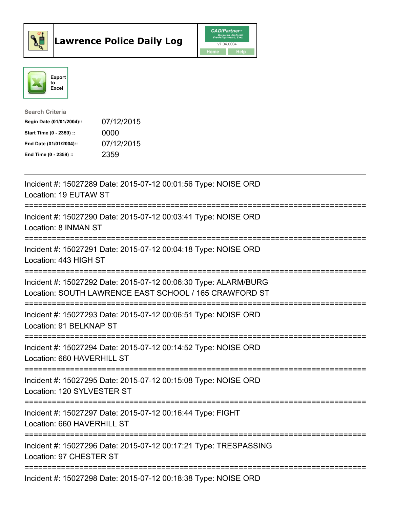



| <b>Search Criteria</b>    |            |
|---------------------------|------------|
| Begin Date (01/01/2004):: | 07/12/2015 |
| Start Time (0 - 2359) ::  | 0000       |
| End Date (01/01/2004)::   | 07/12/2015 |
| End Time $(0 - 2359)$ :   | 2359       |

| Incident #: 15027289 Date: 2015-07-12 00:01:56 Type: NOISE ORD<br>Location: 19 EUTAW ST                                   |
|---------------------------------------------------------------------------------------------------------------------------|
| Incident #: 15027290 Date: 2015-07-12 00:03:41 Type: NOISE ORD<br>Location: 8 INMAN ST                                    |
| Incident #: 15027291 Date: 2015-07-12 00:04:18 Type: NOISE ORD<br>Location: 443 HIGH ST                                   |
| Incident #: 15027292 Date: 2015-07-12 00:06:30 Type: ALARM/BURG<br>Location: SOUTH LAWRENCE EAST SCHOOL / 165 CRAWFORD ST |
| Incident #: 15027293 Date: 2015-07-12 00:06:51 Type: NOISE ORD<br>Location: 91 BELKNAP ST                                 |
| Incident #: 15027294 Date: 2015-07-12 00:14:52 Type: NOISE ORD<br>Location: 660 HAVERHILL ST                              |
| Incident #: 15027295 Date: 2015-07-12 00:15:08 Type: NOISE ORD<br>Location: 120 SYLVESTER ST                              |
| Incident #: 15027297 Date: 2015-07-12 00:16:44 Type: FIGHT<br>Location: 660 HAVERHILL ST                                  |
| Incident #: 15027296 Date: 2015-07-12 00:17:21 Type: TRESPASSING<br>Location: 97 CHESTER ST                               |
| Incident #: 15027298 Date: 2015-07-12 00:18:38 Type: NOISE ORD                                                            |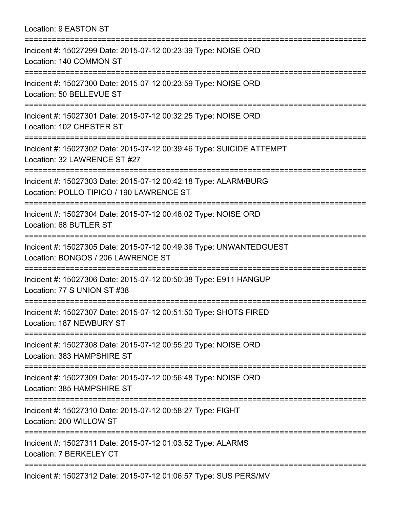Location: 9 EASTON ST =========================================================================== Incident #: 15027299 Date: 2015-07-12 00:23:39 Type: NOISE ORD Location: 140 COMMON ST =========================================================================== Incident #: 15027300 Date: 2015-07-12 00:23:59 Type: NOISE ORD Location: 50 BELLEVUE ST =========================================================================== Incident #: 15027301 Date: 2015-07-12 00:32:25 Type: NOISE ORD Location: 102 CHESTER ST =========================================================================== Incident #: 15027302 Date: 2015-07-12 00:39:46 Type: SUICIDE ATTEMPT Location: 32 LAWRENCE ST #27 =========================================================================== Incident #: 15027303 Date: 2015-07-12 00:42:18 Type: ALARM/BURG Location: POLLO TIPICO / 190 LAWRENCE ST =========================================================================== Incident #: 15027304 Date: 2015-07-12 00:48:02 Type: NOISE ORD Location: 68 BUTLER ST =========================================================================== Incident #: 15027305 Date: 2015-07-12 00:49:36 Type: UNWANTEDGUEST Location: BONGOS / 206 LAWRENCE ST =========================================================================== Incident #: 15027306 Date: 2015-07-12 00:50:38 Type: E911 HANGUP Location: 77 S UNION ST #38 =========================================================================== Incident #: 15027307 Date: 2015-07-12 00:51:50 Type: SHOTS FIRED Location: 187 NEWBURY ST =========================================================================== Incident #: 15027308 Date: 2015-07-12 00:55:20 Type: NOISE ORD Location: 383 HAMPSHIRE ST =========================================================================== Incident #: 15027309 Date: 2015-07-12 00:56:48 Type: NOISE ORD Location: 385 HAMPSHIRE ST =========================================================================== Incident #: 15027310 Date: 2015-07-12 00:58:27 Type: FIGHT Location: 200 WILLOW ST =========================================================================== Incident #: 15027311 Date: 2015-07-12 01:03:52 Type: ALARMS Location: 7 BERKELEY CT ===========================================================================

Incident #: 15027312 Date: 2015-07-12 01:06:57 Type: SUS PERS/MV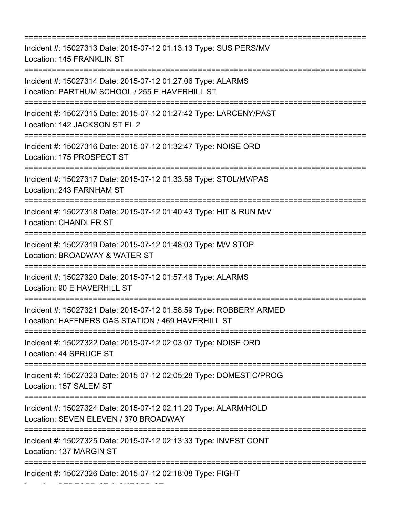=========================================================================== Incident #: 15027313 Date: 2015-07-12 01:13:13 Type: SUS PERS/MV Location: 145 FRANKLIN ST =========================================================================== Incident #: 15027314 Date: 2015-07-12 01:27:06 Type: ALARMS Location: PARTHUM SCHOOL / 255 E HAVERHILL ST =========================================================================== Incident #: 15027315 Date: 2015-07-12 01:27:42 Type: LARCENY/PAST Location: 142 JACKSON ST FL 2 =========================================================================== Incident #: 15027316 Date: 2015-07-12 01:32:47 Type: NOISE ORD Location: 175 PROSPECT ST =========================================================================== Incident #: 15027317 Date: 2015-07-12 01:33:59 Type: STOL/MV/PAS Location: 243 FARNHAM ST =========================================================================== Incident #: 15027318 Date: 2015-07-12 01:40:43 Type: HIT & RUN M/V Location: CHANDLER ST =========================================================================== Incident #: 15027319 Date: 2015-07-12 01:48:03 Type: M/V STOP Location: BROADWAY & WATER ST =========================================================================== Incident #: 15027320 Date: 2015-07-12 01:57:46 Type: ALARMS Location: 90 E HAVERHILL ST =========================================================================== Incident #: 15027321 Date: 2015-07-12 01:58:59 Type: ROBBERY ARMED Location: HAFFNERS GAS STATION / 469 HAVERHILL ST =========================================================================== Incident #: 15027322 Date: 2015-07-12 02:03:07 Type: NOISE ORD Location: 44 SPRUCE ST =========================================================================== Incident #: 15027323 Date: 2015-07-12 02:05:28 Type: DOMESTIC/PROG Location: 157 SALEM ST =========================================================================== Incident #: 15027324 Date: 2015-07-12 02:11:20 Type: ALARM/HOLD Location: SEVEN ELEVEN / 370 BROADWAY =========================================================================== Incident #: 15027325 Date: 2015-07-12 02:13:33 Type: INVEST CONT Location: 137 MARGIN ST =========================================================================== Incident #: 15027326 Date: 2015-07-12 02:18:08 Type: FIGHT

Location: BEDFORD ST & OXFORD ST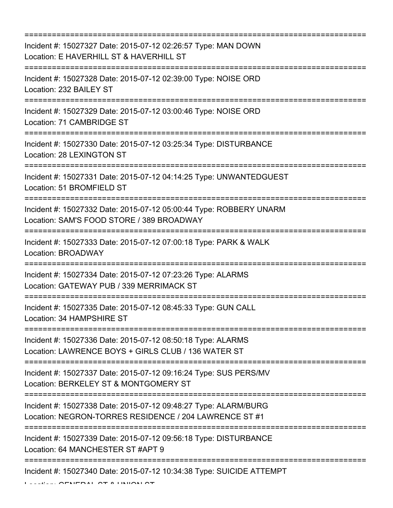=========================================================================== Incident #: 15027327 Date: 2015-07-12 02:26:57 Type: MAN DOWN Location: E HAVERHILL ST & HAVERHILL ST =========================================================================== Incident #: 15027328 Date: 2015-07-12 02:39:00 Type: NOISE ORD Location: 232 BAILEY ST =========================================================================== Incident #: 15027329 Date: 2015-07-12 03:00:46 Type: NOISE ORD Location: 71 CAMBRIDGE ST =========================================================================== Incident #: 15027330 Date: 2015-07-12 03:25:34 Type: DISTURBANCE Location: 28 LEXINGTON ST =========================================================================== Incident #: 15027331 Date: 2015-07-12 04:14:25 Type: UNWANTEDGUEST Location: 51 BROMFIELD ST =========================================================================== Incident #: 15027332 Date: 2015-07-12 05:00:44 Type: ROBBERY UNARM Location: SAM'S FOOD STORE / 389 BROADWAY =========================================================================== Incident #: 15027333 Date: 2015-07-12 07:00:18 Type: PARK & WALK Location: BROADWAY =========================================================================== Incident #: 15027334 Date: 2015-07-12 07:23:26 Type: ALARMS Location: GATEWAY PUB / 339 MERRIMACK ST =========================================================================== Incident #: 15027335 Date: 2015-07-12 08:45:33 Type: GUN CALL Location: 34 HAMPSHIRE ST =========================================================================== Incident #: 15027336 Date: 2015-07-12 08:50:18 Type: ALARMS Location: LAWRENCE BOYS + GIRLS CLUB / 136 WATER ST =========================================================================== Incident #: 15027337 Date: 2015-07-12 09:16:24 Type: SUS PERS/MV Location: BERKELEY ST & MONTGOMERY ST =========================================================================== Incident #: 15027338 Date: 2015-07-12 09:48:27 Type: ALARM/BURG Location: NEGRON-TORRES RESIDENCE / 204 LAWRENCE ST #1 =========================================================================== Incident #: 15027339 Date: 2015-07-12 09:56:18 Type: DISTURBANCE Location: 64 MANCHESTER ST #APT 9 =========================================================================== Incident #: 15027340 Date: 2015-07-12 10:34:38 Type: SUICIDE ATTEMPT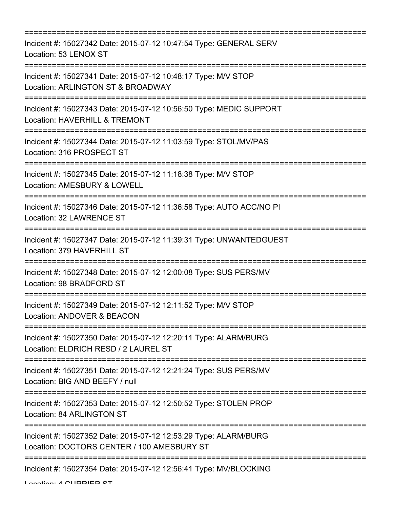| ======================================                                                                                                           |
|--------------------------------------------------------------------------------------------------------------------------------------------------|
| Incident #: 15027342 Date: 2015-07-12 10:47:54 Type: GENERAL SERV<br>Location: 53 LENOX ST                                                       |
| Incident #: 15027341 Date: 2015-07-12 10:48:17 Type: M/V STOP<br>Location: ARLINGTON ST & BROADWAY                                               |
| Incident #: 15027343 Date: 2015-07-12 10:56:50 Type: MEDIC SUPPORT<br>Location: HAVERHILL & TREMONT                                              |
| =============================<br>Incident #: 15027344 Date: 2015-07-12 11:03:59 Type: STOL/MV/PAS<br>Location: 316 PROSPECT ST                   |
| Incident #: 15027345 Date: 2015-07-12 11:18:38 Type: M/V STOP<br>Location: AMESBURY & LOWELL                                                     |
| Incident #: 15027346 Date: 2015-07-12 11:36:58 Type: AUTO ACC/NO PI<br>Location: 32 LAWRENCE ST                                                  |
| Incident #: 15027347 Date: 2015-07-12 11:39:31 Type: UNWANTEDGUEST<br>Location: 379 HAVERHILL ST                                                 |
| Incident #: 15027348 Date: 2015-07-12 12:00:08 Type: SUS PERS/MV<br>Location: 98 BRADFORD ST                                                     |
| Incident #: 15027349 Date: 2015-07-12 12:11:52 Type: M/V STOP<br>Location: ANDOVER & BEACON                                                      |
| =====================================<br>Incident #: 15027350 Date: 2015-07-12 12:20:11 Type: ALARM/BURG<br>Location: ELDRICH RESD / 2 LAUREL ST |
| Incident #: 15027351 Date: 2015-07-12 12:21:24 Type: SUS PERS/MV<br>Location: BIG AND BEEFY / null                                               |
| Incident #: 15027353 Date: 2015-07-12 12:50:52 Type: STOLEN PROP<br>Location: 84 ARLINGTON ST                                                    |
| Incident #: 15027352 Date: 2015-07-12 12:53:29 Type: ALARM/BURG<br>Location: DOCTORS CENTER / 100 AMESBURY ST                                    |
| Incident #: 15027354 Date: 2015-07-12 12:56:41 Type: MV/BLOCKING                                                                                 |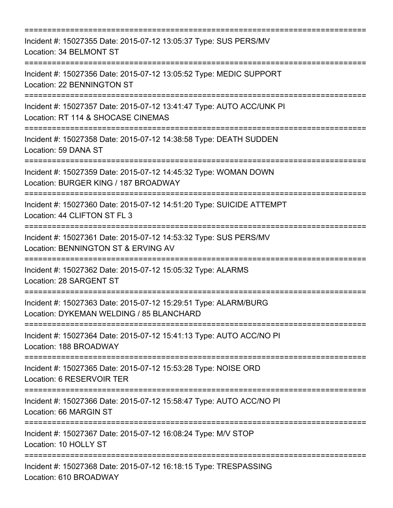=========================================================================== Incident #: 15027355 Date: 2015-07-12 13:05:37 Type: SUS PERS/MV Location: 34 BELMONT ST =========================================================================== Incident #: 15027356 Date: 2015-07-12 13:05:52 Type: MEDIC SUPPORT Location: 22 BENNINGTON ST =========================================================================== Incident #: 15027357 Date: 2015-07-12 13:41:47 Type: AUTO ACC/UNK PI Location: RT 114 & SHOCASE CINEMAS =========================================================================== Incident #: 15027358 Date: 2015-07-12 14:38:58 Type: DEATH SUDDEN Location: 59 DANA ST =========================================================================== Incident #: 15027359 Date: 2015-07-12 14:45:32 Type: WOMAN DOWN Location: BURGER KING / 187 BROADWAY =========================================================================== Incident #: 15027360 Date: 2015-07-12 14:51:20 Type: SUICIDE ATTEMPT Location: 44 CLIFTON ST FL 3 =========================================================================== Incident #: 15027361 Date: 2015-07-12 14:53:32 Type: SUS PERS/MV Location: BENNINGTON ST & ERVING AV =========================================================================== Incident #: 15027362 Date: 2015-07-12 15:05:32 Type: ALARMS Location: 28 SARGENT ST =========================================================================== Incident #: 15027363 Date: 2015-07-12 15:29:51 Type: ALARM/BURG Location: DYKEMAN WELDING / 85 BLANCHARD =========================================================================== Incident #: 15027364 Date: 2015-07-12 15:41:13 Type: AUTO ACC/NO PI Location: 188 BROADWAY =========================================================================== Incident #: 15027365 Date: 2015-07-12 15:53:28 Type: NOISE ORD Location: 6 RESERVOIR TER =========================================================================== Incident #: 15027366 Date: 2015-07-12 15:58:47 Type: AUTO ACC/NO PI Location: 66 MARGIN ST =========================================================================== Incident #: 15027367 Date: 2015-07-12 16:08:24 Type: M/V STOP Location: 10 HOLLY ST ========================= Incident #: 15027368 Date: 2015-07-12 16:18:15 Type: TRESPASSING Location: 610 BROADWAY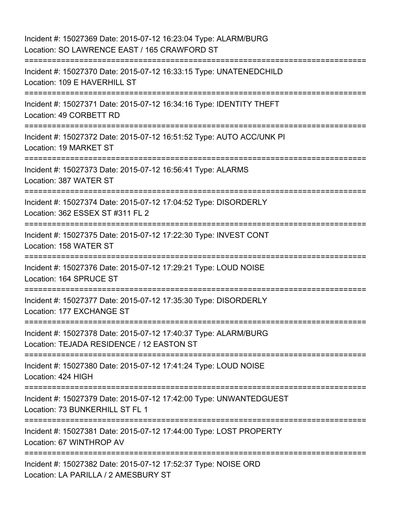| Incident #: 15027369 Date: 2015-07-12 16:23:04 Type: ALARM/BURG<br>Location: SO LAWRENCE EAST / 165 CRAWFORD ST |
|-----------------------------------------------------------------------------------------------------------------|
| Incident #: 15027370 Date: 2015-07-12 16:33:15 Type: UNATENEDCHILD<br>Location: 109 E HAVERHILL ST              |
| Incident #: 15027371 Date: 2015-07-12 16:34:16 Type: IDENTITY THEFT<br>Location: 49 CORBETT RD                  |
| Incident #: 15027372 Date: 2015-07-12 16:51:52 Type: AUTO ACC/UNK PI<br>Location: 19 MARKET ST                  |
| Incident #: 15027373 Date: 2015-07-12 16:56:41 Type: ALARMS<br>Location: 387 WATER ST                           |
| Incident #: 15027374 Date: 2015-07-12 17:04:52 Type: DISORDERLY<br>Location: 362 ESSEX ST #311 FL 2             |
| Incident #: 15027375 Date: 2015-07-12 17:22:30 Type: INVEST CONT<br>Location: 158 WATER ST                      |
| Incident #: 15027376 Date: 2015-07-12 17:29:21 Type: LOUD NOISE<br>Location: 164 SPRUCE ST                      |
| Incident #: 15027377 Date: 2015-07-12 17:35:30 Type: DISORDERLY<br>Location: 177 EXCHANGE ST                    |
| Incident #: 15027378 Date: 2015-07-12 17:40:37 Type: ALARM/BURG<br>Location: TEJADA RESIDENCE / 12 EASTON ST    |
| Incident #: 15027380 Date: 2015-07-12 17:41:24 Type: LOUD NOISE<br>Location: 424 HIGH                           |
| Incident #: 15027379 Date: 2015-07-12 17:42:00 Type: UNWANTEDGUEST<br>Location: 73 BUNKERHILL ST FL 1           |
| Incident #: 15027381 Date: 2015-07-12 17:44:00 Type: LOST PROPERTY<br>Location: 67 WINTHROP AV                  |
| Incident #: 15027382 Date: 2015-07-12 17:52:37 Type: NOISE ORD<br>Location: LA PARILLA / 2 AMESBURY ST          |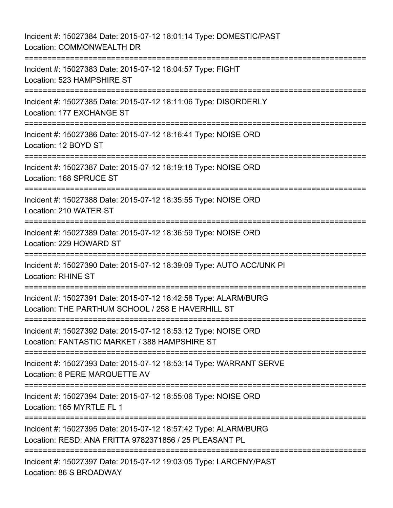Incident #: 15027384 Date: 2015-07-12 18:01:14 Type: DOMESTIC/PAST Location: COMMONWEALTH DR =========================================================================== Incident #: 15027383 Date: 2015-07-12 18:04:57 Type: FIGHT Location: 523 HAMPSHIRE ST =========================================================================== Incident #: 15027385 Date: 2015-07-12 18:11:06 Type: DISORDERLY Location: 177 EXCHANGE ST =========================================================================== Incident #: 15027386 Date: 2015-07-12 18:16:41 Type: NOISE ORD Location: 12 BOYD ST =========================================================================== Incident #: 15027387 Date: 2015-07-12 18:19:18 Type: NOISE ORD Location: 168 SPRUCE ST =========================================================================== Incident #: 15027388 Date: 2015-07-12 18:35:55 Type: NOISE ORD Location: 210 WATER ST =========================================================================== Incident #: 15027389 Date: 2015-07-12 18:36:59 Type: NOISE ORD Location: 229 HOWARD ST =========================================================================== Incident #: 15027390 Date: 2015-07-12 18:39:09 Type: AUTO ACC/UNK PI Location: RHINE ST =========================================================================== Incident #: 15027391 Date: 2015-07-12 18:42:58 Type: ALARM/BURG Location: THE PARTHUM SCHOOL / 258 E HAVERHILL ST =========================================================================== Incident #: 15027392 Date: 2015-07-12 18:53:12 Type: NOISE ORD Location: FANTASTIC MARKET / 388 HAMPSHIRE ST =========================================================================== Incident #: 15027393 Date: 2015-07-12 18:53:14 Type: WARRANT SERVE Location: 6 PERE MARQUETTE AV =========================================================================== Incident #: 15027394 Date: 2015-07-12 18:55:06 Type: NOISE ORD Location: 165 MYRTLE FL 1 =========================================================================== Incident #: 15027395 Date: 2015-07-12 18:57:42 Type: ALARM/BURG Location: RESD; ANA FRITTA 9782371856 / 25 PLEASANT PL =========================================================================== Incident #: 15027397 Date: 2015-07-12 19:03:05 Type: LARCENY/PAST Location: 86 S BROADWAY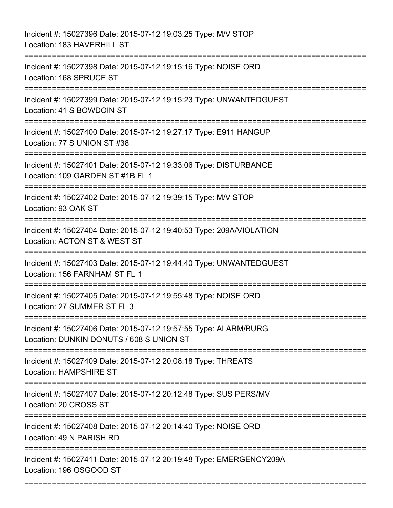Incident #: 15027396 Date: 2015-07-12 19:03:25 Type: M/V STOP Location: 183 HAVERHILL ST =========================================================================== Incident #: 15027398 Date: 2015-07-12 19:15:16 Type: NOISE ORD Location: 168 SPRUCE ST =========================================================================== Incident #: 15027399 Date: 2015-07-12 19:15:23 Type: UNWANTEDGUEST Location: 41 S BOWDOIN ST =========================================================================== Incident #: 15027400 Date: 2015-07-12 19:27:17 Type: E911 HANGUP Location: 77 S UNION ST #38 =========================================================================== Incident #: 15027401 Date: 2015-07-12 19:33:06 Type: DISTURBANCE Location: 109 GARDEN ST #1B FL 1 =========================================================================== Incident #: 15027402 Date: 2015-07-12 19:39:15 Type: M/V STOP Location: 93 OAK ST =========================================================================== Incident #: 15027404 Date: 2015-07-12 19:40:53 Type: 209A/VIOLATION Location: ACTON ST & WEST ST =========================================================================== Incident #: 15027403 Date: 2015-07-12 19:44:40 Type: UNWANTEDGUEST Location: 156 FARNHAM ST FL 1 =========================================================================== Incident #: 15027405 Date: 2015-07-12 19:55:48 Type: NOISE ORD Location: 27 SUMMER ST FL 3 =========================================================================== Incident #: 15027406 Date: 2015-07-12 19:57:55 Type: ALARM/BURG Location: DUNKIN DONUTS / 608 S UNION ST =========================================================================== Incident #: 15027409 Date: 2015-07-12 20:08:18 Type: THREATS Location: HAMPSHIRE ST =========================================================================== Incident #: 15027407 Date: 2015-07-12 20:12:48 Type: SUS PERS/MV Location: 20 CROSS ST =========================================================================== Incident #: 15027408 Date: 2015-07-12 20:14:40 Type: NOISE ORD Location: 49 N PARISH RD =========================================================================== Incident #: 15027411 Date: 2015-07-12 20:19:48 Type: EMERGENCY209A Location: 196 OSGOOD ST

===========================================================================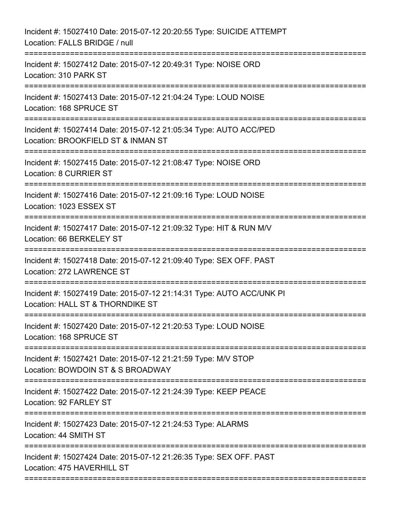| Incident #: 15027410 Date: 2015-07-12 20:20:55 Type: SUICIDE ATTEMPT<br>Location: FALLS BRIDGE / null            |
|------------------------------------------------------------------------------------------------------------------|
| Incident #: 15027412 Date: 2015-07-12 20:49:31 Type: NOISE ORD<br>Location: 310 PARK ST                          |
| Incident #: 15027413 Date: 2015-07-12 21:04:24 Type: LOUD NOISE<br>Location: 168 SPRUCE ST                       |
| Incident #: 15027414 Date: 2015-07-12 21:05:34 Type: AUTO ACC/PED<br>Location: BROOKFIELD ST & INMAN ST          |
| Incident #: 15027415 Date: 2015-07-12 21:08:47 Type: NOISE ORD<br>Location: 8 CURRIER ST                         |
| Incident #: 15027416 Date: 2015-07-12 21:09:16 Type: LOUD NOISE<br>Location: 1023 ESSEX ST                       |
| Incident #: 15027417 Date: 2015-07-12 21:09:32 Type: HIT & RUN M/V<br>Location: 66 BERKELEY ST                   |
| Incident #: 15027418 Date: 2015-07-12 21:09:40 Type: SEX OFF. PAST<br>Location: 272 LAWRENCE ST<br>============= |
| Incident #: 15027419 Date: 2015-07-12 21:14:31 Type: AUTO ACC/UNK PI<br>Location: HALL ST & THORNDIKE ST         |
| Incident #: 15027420 Date: 2015-07-12 21:20:53 Type: LOUD NOISE<br>Location: 168 SPRUCE ST                       |
| Incident #: 15027421 Date: 2015-07-12 21:21:59 Type: M/V STOP<br>Location: BOWDOIN ST & S BROADWAY               |
| Incident #: 15027422 Date: 2015-07-12 21:24:39 Type: KEEP PEACE<br>Location: 92 FARLEY ST                        |
| Incident #: 15027423 Date: 2015-07-12 21:24:53 Type: ALARMS<br>Location: 44 SMITH ST                             |
| Incident #: 15027424 Date: 2015-07-12 21:26:35 Type: SEX OFF. PAST<br>Location: 475 HAVERHILL ST                 |
|                                                                                                                  |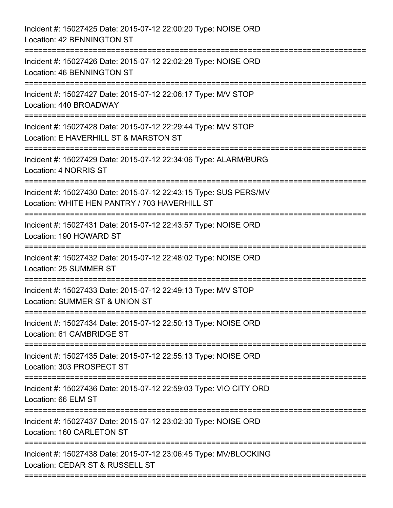| Incident #: 15027425 Date: 2015-07-12 22:00:20 Type: NOISE ORD<br>Location: 42 BENNINGTON ST                                   |
|--------------------------------------------------------------------------------------------------------------------------------|
| Incident #: 15027426 Date: 2015-07-12 22:02:28 Type: NOISE ORD<br>Location: 46 BENNINGTON ST                                   |
| Incident #: 15027427 Date: 2015-07-12 22:06:17 Type: M/V STOP<br>Location: 440 BROADWAY                                        |
| Incident #: 15027428 Date: 2015-07-12 22:29:44 Type: M/V STOP<br>Location: E HAVERHILL ST & MARSTON ST<br>.------------------- |
| Incident #: 15027429 Date: 2015-07-12 22:34:06 Type: ALARM/BURG<br>Location: 4 NORRIS ST<br>=======================            |
| Incident #: 15027430 Date: 2015-07-12 22:43:15 Type: SUS PERS/MV<br>Location: WHITE HEN PANTRY / 703 HAVERHILL ST              |
| Incident #: 15027431 Date: 2015-07-12 22:43:57 Type: NOISE ORD<br>Location: 190 HOWARD ST                                      |
| Incident #: 15027432 Date: 2015-07-12 22:48:02 Type: NOISE ORD<br>Location: 25 SUMMER ST<br>=========================          |
| Incident #: 15027433 Date: 2015-07-12 22:49:13 Type: M/V STOP<br>Location: SUMMER ST & UNION ST                                |
| Incident #: 15027434 Date: 2015-07-12 22:50:13 Type: NOISE ORD<br>Location: 61 CAMBRIDGE ST                                    |
| Incident #: 15027435 Date: 2015-07-12 22:55:13 Type: NOISE ORD<br>Location: 303 PROSPECT ST                                    |
| Incident #: 15027436 Date: 2015-07-12 22:59:03 Type: VIO CITY ORD<br>Location: 66 ELM ST                                       |
| Incident #: 15027437 Date: 2015-07-12 23:02:30 Type: NOISE ORD<br>Location: 160 CARLETON ST                                    |
| Incident #: 15027438 Date: 2015-07-12 23:06:45 Type: MV/BLOCKING<br>Location: CEDAR ST & RUSSELL ST                            |
|                                                                                                                                |